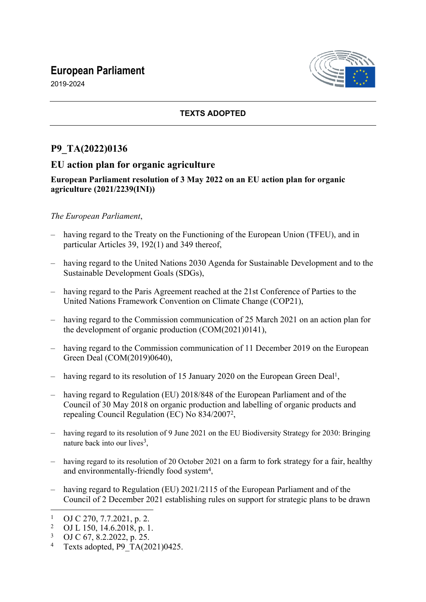# **European Parliament**



2019-2024

## **TEXTS ADOPTED**

# **P9\_TA(2022)0136**

## **EU action plan for organic agriculture**

### **European Parliament resolution of 3 May 2022 on an EU action plan for organic agriculture (2021/2239(INI))**

### *The European Parliament*,

- having regard to the Treaty on the Functioning of the European Union (TFEU), and in particular Articles 39, 192(1) and 349 thereof,
- having regard to the United Nations 2030 Agenda for Sustainable Development and to the Sustainable Development Goals (SDGs),
- having regard to the Paris Agreement reached at the 21st Conference of Parties to the United Nations Framework Convention on Climate Change (COP21),
- having regard to the Commission communication of 25 March 2021 on an action plan for the development of organic production (COM(2021)0141),
- having regard to the Commission communication of 11 December 2019 on the European Green Deal (COM(2019)0640),
- having regard to its resolution of 15 January 2020 on the European Green Deal<sup>1</sup>,
- having regard to Regulation (EU) 2018/848 of the European Parliament and of the Council of 30 May 2018 on organic production and labelling of organic products and repealing Council Regulation (EC) No 834/2007<sup>2</sup> ,
- having regard to its resolution of 9 June 2021 on the EU Biodiversity Strategy for 2030: Bringing nature back into our lives<sup>3</sup>,
- having regard to its resolution of 20 October 2021 on a farm to fork strategy for a fair, healthy and environmentally-friendly food system<sup>4</sup>,
- having regard to Regulation (EU) 2021/2115 of the European Parliament and of the Council of 2 December 2021 establishing rules on support for strategic plans to be drawn

<sup>1</sup> OJ C 270, 7.7.2021, p. 2.

<sup>2</sup> OJ L 150, 14.6.2018, p. 1.

<sup>3</sup> OJ C 67, 8.2.2022, p. 25.

<sup>4</sup> Texts adopted, P9\_TA(2021)0425.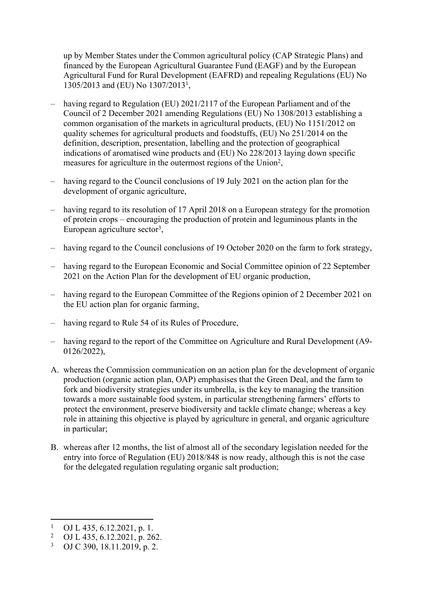up by Member States under the Common agricultural policy (CAP Strategic Plans) and financed by the European Agricultural Guarantee Fund (EAGF) and by the European Agricultural Fund for Rural Development (EAFRD) and repealing Regulations (EU) No 1305/2013 and (EU) No 1307/2013<sup>1</sup> ,

- having regard to Regulation (EU) 2021/2117 of the European Parliament and of the Council of 2 December 2021 amending Regulations (EU) No 1308/2013 establishing a common organisation of the markets in agricultural products, (EU) No 1151/2012 on quality schemes for agricultural products and foodstuffs, (EU) No 251/2014 on the definition, description, presentation, labelling and the protection of geographical indications of aromatised wine products and (EU) No 228/2013 laying down specific measures for agriculture in the outermost regions of the Union<sup>2</sup>,
- having regard to the Council conclusions of 19 July 2021 on the action plan for the development of organic agriculture,
- having regard to its resolution of 17 April 2018 on a European strategy for the promotion of protein crops – encouraging the production of protein and leguminous plants in the European agriculture sector<sup>3</sup>,
- having regard to the Council conclusions of 19 October 2020 on the farm to fork strategy,
- having regard to the European Economic and Social Committee opinion of 22 September 2021 on the Action Plan for the development of EU organic production,
- having regard to the European Committee of the Regions opinion of 2 December 2021 on the EU action plan for organic farming,
- having regard to Rule 54 of its Rules of Procedure,
- having regard to the report of the Committee on Agriculture and Rural Development (A9- 0126/2022),
- A. whereas the Commission communication on an action plan for the development of organic production (organic action plan, OAP) emphasises that the Green Deal, and the farm to fork and biodiversity strategies under its umbrella, is the key to managing the transition towards a more sustainable food system, in particular strengthening farmers' efforts to protect the environment, preserve biodiversity and tackle climate change; whereas a key role in attaining this objective is played by agriculture in general, and organic agriculture in particular;
- B. whereas after 12 months, the list of almost all of the secondary legislation needed for the entry into force of Regulation (EU) 2018/848 is now ready, although this is not the case for the delegated regulation regulating organic salt production;

<sup>1</sup> OJ L 435, 6.12.2021, p. 1.

<sup>2</sup> OJ L 435, 6.12.2021, p. 262.

<sup>3</sup> OJ C 390, 18.11.2019, p. 2.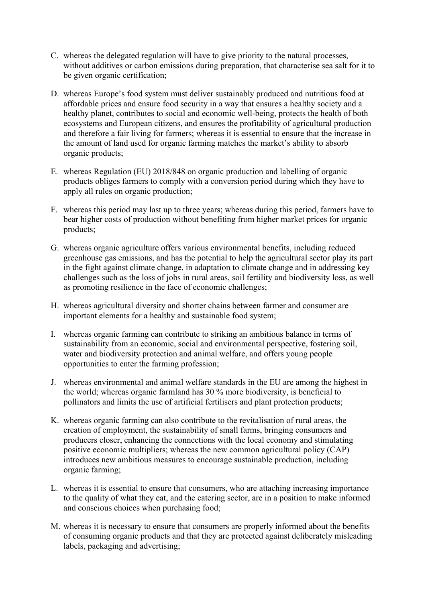- C. whereas the delegated regulation will have to give priority to the natural processes, without additives or carbon emissions during preparation, that characterise sea salt for it to be given organic certification;
- D. whereas Europe's food system must deliver sustainably produced and nutritious food at affordable prices and ensure food security in a way that ensures a healthy society and a healthy planet, contributes to social and economic well-being, protects the health of both ecosystems and European citizens, and ensures the profitability of agricultural production and therefore a fair living for farmers; whereas it is essential to ensure that the increase in the amount of land used for organic farming matches the market's ability to absorb organic products;
- E. whereas Regulation (EU) 2018/848 on organic production and labelling of organic products obliges farmers to comply with a conversion period during which they have to apply all rules on organic production;
- F. whereas this period may last up to three years; whereas during this period, farmers have to bear higher costs of production without benefiting from higher market prices for organic products;
- G. whereas organic agriculture offers various environmental benefits, including reduced greenhouse gas emissions, and has the potential to help the agricultural sector play its part in the fight against climate change, in adaptation to climate change and in addressing key challenges such as the loss of jobs in rural areas, soil fertility and biodiversity loss, as well as promoting resilience in the face of economic challenges;
- H. whereas agricultural diversity and shorter chains between farmer and consumer are important elements for a healthy and sustainable food system;
- I. whereas organic farming can contribute to striking an ambitious balance in terms of sustainability from an economic, social and environmental perspective, fostering soil, water and biodiversity protection and animal welfare, and offers young people opportunities to enter the farming profession;
- J. whereas environmental and animal welfare standards in the EU are among the highest in the world; whereas organic farmland has 30 % more biodiversity, is beneficial to pollinators and limits the use of artificial fertilisers and plant protection products;
- K. whereas organic farming can also contribute to the revitalisation of rural areas, the creation of employment, the sustainability of small farms, bringing consumers and producers closer, enhancing the connections with the local economy and stimulating positive economic multipliers; whereas the new common agricultural policy (CAP) introduces new ambitious measures to encourage sustainable production, including organic farming;
- L. whereas it is essential to ensure that consumers, who are attaching increasing importance to the quality of what they eat, and the catering sector, are in a position to make informed and conscious choices when purchasing food;
- M. whereas it is necessary to ensure that consumers are properly informed about the benefits of consuming organic products and that they are protected against deliberately misleading labels, packaging and advertising;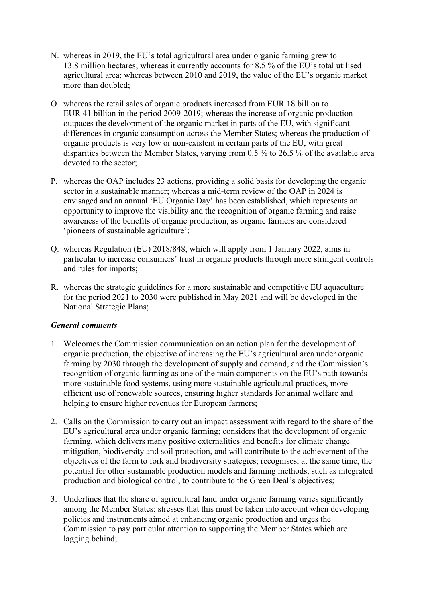- N. whereas in 2019, the EU's total agricultural area under organic farming grew to 13.8 million hectares; whereas it currently accounts for 8.5 % of the EU's total utilised agricultural area; whereas between 2010 and 2019, the value of the EU's organic market more than doubled;
- O. whereas the retail sales of organic products increased from EUR 18 billion to EUR 41 billion in the period 2009-2019; whereas the increase of organic production outpaces the development of the organic market in parts of the EU, with significant differences in organic consumption across the Member States; whereas the production of organic products is very low or non-existent in certain parts of the EU, with great disparities between the Member States, varying from 0.5 % to 26.5 % of the available area devoted to the sector:
- P. whereas the OAP includes 23 actions, providing a solid basis for developing the organic sector in a sustainable manner; whereas a mid-term review of the OAP in 2024 is envisaged and an annual 'EU Organic Day' has been established, which represents an opportunity to improve the visibility and the recognition of organic farming and raise awareness of the benefits of organic production, as organic farmers are considered 'pioneers of sustainable agriculture';
- Q. whereas Regulation (EU) 2018/848, which will apply from 1 January 2022, aims in particular to increase consumers' trust in organic products through more stringent controls and rules for imports;
- R. whereas the strategic guidelines for a more sustainable and competitive EU aquaculture for the period 2021 to 2030 were published in May 2021 and will be developed in the National Strategic Plans;

#### *General comments*

- 1. Welcomes the Commission communication on an action plan for the development of organic production, the objective of increasing the EU's agricultural area under organic farming by 2030 through the development of supply and demand, and the Commission's recognition of organic farming as one of the main components on the EU's path towards more sustainable food systems, using more sustainable agricultural practices, more efficient use of renewable sources, ensuring higher standards for animal welfare and helping to ensure higher revenues for European farmers;
- 2. Calls on the Commission to carry out an impact assessment with regard to the share of the EU's agricultural area under organic farming; considers that the development of organic farming, which delivers many positive externalities and benefits for climate change mitigation, biodiversity and soil protection, and will contribute to the achievement of the objectives of the farm to fork and biodiversity strategies; recognises, at the same time, the potential for other sustainable production models and farming methods, such as integrated production and biological control, to contribute to the Green Deal's objectives;
- 3. Underlines that the share of agricultural land under organic farming varies significantly among the Member States; stresses that this must be taken into account when developing policies and instruments aimed at enhancing organic production and urges the Commission to pay particular attention to supporting the Member States which are lagging behind;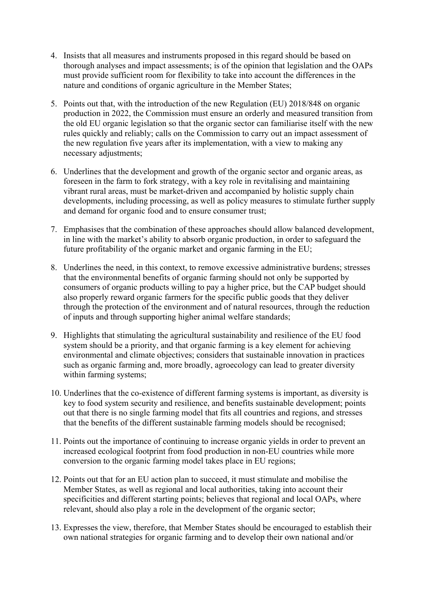- 4. Insists that all measures and instruments proposed in this regard should be based on thorough analyses and impact assessments; is of the opinion that legislation and the OAPs must provide sufficient room for flexibility to take into account the differences in the nature and conditions of organic agriculture in the Member States;
- 5. Points out that, with the introduction of the new Regulation (EU) 2018/848 on organic production in 2022, the Commission must ensure an orderly and measured transition from the old EU organic legislation so that the organic sector can familiarise itself with the new rules quickly and reliably; calls on the Commission to carry out an impact assessment of the new regulation five years after its implementation, with a view to making any necessary adjustments;
- 6. Underlines that the development and growth of the organic sector and organic areas, as foreseen in the farm to fork strategy, with a key role in revitalising and maintaining vibrant rural areas, must be market-driven and accompanied by holistic supply chain developments, including processing, as well as policy measures to stimulate further supply and demand for organic food and to ensure consumer trust;
- 7. Emphasises that the combination of these approaches should allow balanced development, in line with the market's ability to absorb organic production, in order to safeguard the future profitability of the organic market and organic farming in the EU;
- 8. Underlines the need, in this context, to remove excessive administrative burdens; stresses that the environmental benefits of organic farming should not only be supported by consumers of organic products willing to pay a higher price, but the CAP budget should also properly reward organic farmers for the specific public goods that they deliver through the protection of the environment and of natural resources, through the reduction of inputs and through supporting higher animal welfare standards;
- 9. Highlights that stimulating the agricultural sustainability and resilience of the EU food system should be a priority, and that organic farming is a key element for achieving environmental and climate objectives; considers that sustainable innovation in practices such as organic farming and, more broadly, agroecology can lead to greater diversity within farming systems;
- 10. Underlines that the co-existence of different farming systems is important, as diversity is key to food system security and resilience, and benefits sustainable development; points out that there is no single farming model that fits all countries and regions, and stresses that the benefits of the different sustainable farming models should be recognised;
- 11. Points out the importance of continuing to increase organic yields in order to prevent an increased ecological footprint from food production in non-EU countries while more conversion to the organic farming model takes place in EU regions;
- 12. Points out that for an EU action plan to succeed, it must stimulate and mobilise the Member States, as well as regional and local authorities, taking into account their specificities and different starting points; believes that regional and local OAPs, where relevant, should also play a role in the development of the organic sector;
- 13. Expresses the view, therefore, that Member States should be encouraged to establish their own national strategies for organic farming and to develop their own national and/or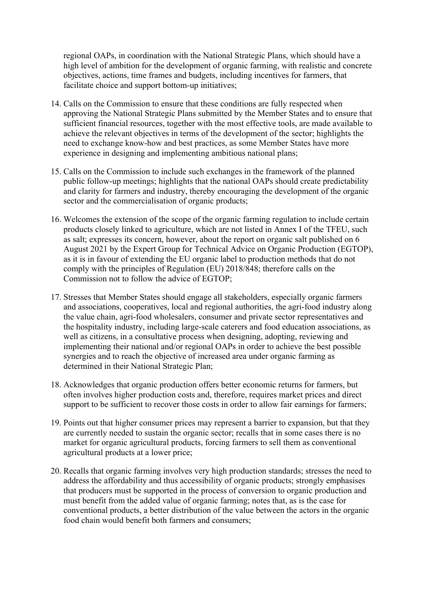regional OAPs, in coordination with the National Strategic Plans, which should have a high level of ambition for the development of organic farming, with realistic and concrete objectives, actions, time frames and budgets, including incentives for farmers, that facilitate choice and support bottom-up initiatives;

- 14. Calls on the Commission to ensure that these conditions are fully respected when approving the National Strategic Plans submitted by the Member States and to ensure that sufficient financial resources, together with the most effective tools, are made available to achieve the relevant objectives in terms of the development of the sector; highlights the need to exchange know-how and best practices, as some Member States have more experience in designing and implementing ambitious national plans;
- 15. Calls on the Commission to include such exchanges in the framework of the planned public follow-up meetings; highlights that the national OAPs should create predictability and clarity for farmers and industry, thereby encouraging the development of the organic sector and the commercialisation of organic products;
- 16. Welcomes the extension of the scope of the organic farming regulation to include certain products closely linked to agriculture, which are not listed in Annex I of the TFEU, such as salt; expresses its concern, however, about the report on organic salt published on 6 August 2021 by the Expert Group for Technical Advice on Organic Production (EGTOP), as it is in favour of extending the EU organic label to production methods that do not comply with the principles of Regulation (EU) 2018/848; therefore calls on the Commission not to follow the advice of EGTOP;
- 17. Stresses that Member States should engage all stakeholders, especially organic farmers and associations, cooperatives, local and regional authorities, the agri-food industry along the value chain, agri-food wholesalers, consumer and private sector representatives and the hospitality industry, including large-scale caterers and food education associations, as well as citizens, in a consultative process when designing, adopting, reviewing and implementing their national and/or regional OAPs in order to achieve the best possible synergies and to reach the objective of increased area under organic farming as determined in their National Strategic Plan;
- 18. Acknowledges that organic production offers better economic returns for farmers, but often involves higher production costs and, therefore, requires market prices and direct support to be sufficient to recover those costs in order to allow fair earnings for farmers;
- 19. Points out that higher consumer prices may represent a barrier to expansion, but that they are currently needed to sustain the organic sector; recalls that in some cases there is no market for organic agricultural products, forcing farmers to sell them as conventional agricultural products at a lower price;
- 20. Recalls that organic farming involves very high production standards; stresses the need to address the affordability and thus accessibility of organic products; strongly emphasises that producers must be supported in the process of conversion to organic production and must benefit from the added value of organic farming; notes that, as is the case for conventional products, a better distribution of the value between the actors in the organic food chain would benefit both farmers and consumers;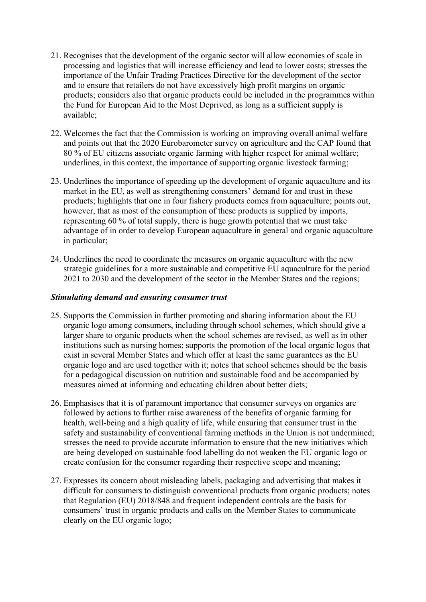- 21. Recognises that the development of the organic sector will allow economies of scale in processing and logistics that will increase efficiency and lead to lower costs; stresses the importance of the Unfair Trading Practices Directive for the development of the sector and to ensure that retailers do not have excessively high profit margins on organic products; considers also that organic products could be included in the programmes within the Fund for European Aid to the Most Deprived, as long as a sufficient supply is available;
- 22. Welcomes the fact that the Commission is working on improving overall animal welfare and points out that the 2020 Eurobarometer survey on agriculture and the CAP found that 80 % of EU citizens associate organic farming with higher respect for animal welfare; underlines, in this context, the importance of supporting organic livestock farming;
- 23. Underlines the importance of speeding up the development of organic aquaculture and its market in the EU, as well as strengthening consumers' demand for and trust in these products; highlights that one in four fishery products comes from aquaculture; points out, however, that as most of the consumption of these products is supplied by imports, representing 60 % of total supply, there is huge growth potential that we must take advantage of in order to develop European aquaculture in general and organic aquaculture in particular;
- 24. Underlines the need to coordinate the measures on organic aquaculture with the new strategic guidelines for a more sustainable and competitive EU aquaculture for the period 2021 to 2030 and the development of the sector in the Member States and the regions;

#### *Stimulating demand and ensuring consumer trust*

- 25. Supports the Commission in further promoting and sharing information about the EU organic logo among consumers, including through school schemes, which should give a larger share to organic products when the school schemes are revised, as well as in other institutions such as nursing homes; supports the promotion of the local organic logos that exist in several Member States and which offer at least the same guarantees as the EU organic logo and are used together with it; notes that school schemes should be the basis for a pedagogical discussion on nutrition and sustainable food and be accompanied by measures aimed at informing and educating children about better diets;
- 26. Emphasises that it is of paramount importance that consumer surveys on organics are followed by actions to further raise awareness of the benefits of organic farming for health, well-being and a high quality of life, while ensuring that consumer trust in the safety and sustainability of conventional farming methods in the Union is not undermined; stresses the need to provide accurate information to ensure that the new initiatives which are being developed on sustainable food labelling do not weaken the EU organic logo or create confusion for the consumer regarding their respective scope and meaning;
- 27. Expresses its concern about misleading labels, packaging and advertising that makes it difficult for consumers to distinguish conventional products from organic products; notes that Regulation (EU) 2018/848 and frequent independent controls are the basis for consumers' trust in organic products and calls on the Member States to communicate clearly on the EU organic logo;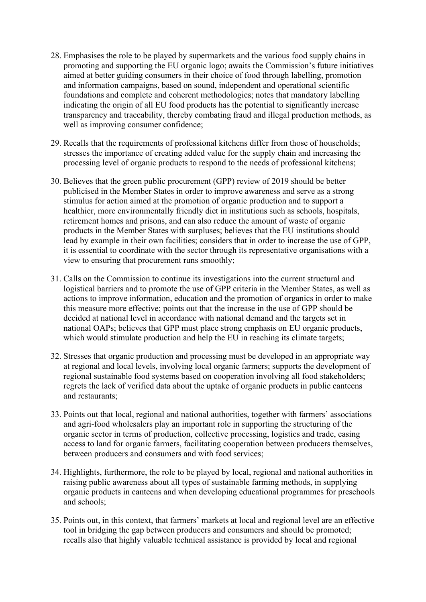- 28. Emphasises the role to be played by supermarkets and the various food supply chains in promoting and supporting the EU organic logo; awaits the Commission's future initiatives aimed at better guiding consumers in their choice of food through labelling, promotion and information campaigns, based on sound, independent and operational scientific foundations and complete and coherent methodologies; notes that mandatory labelling indicating the origin of all EU food products has the potential to significantly increase transparency and traceability, thereby combating fraud and illegal production methods, as well as improving consumer confidence;
- 29. Recalls that the requirements of professional kitchens differ from those of households; stresses the importance of creating added value for the supply chain and increasing the processing level of organic products to respond to the needs of professional kitchens;
- 30. Believes that the green public procurement (GPP) review of 2019 should be better publicised in the Member States in order to improve awareness and serve as a strong stimulus for action aimed at the promotion of organic production and to support a healthier, more environmentally friendly diet in institutions such as schools, hospitals, retirement homes and prisons, and can also reduce the amount of waste of organic products in the Member States with surpluses; believes that the EU institutions should lead by example in their own facilities; considers that in order to increase the use of GPP, it is essential to coordinate with the sector through its representative organisations with a view to ensuring that procurement runs smoothly;
- 31. Calls on the Commission to continue its investigations into the current structural and logistical barriers and to promote the use of GPP criteria in the Member States, as well as actions to improve information, education and the promotion of organics in order to make this measure more effective; points out that the increase in the use of GPP should be decided at national level in accordance with national demand and the targets set in national OAPs; believes that GPP must place strong emphasis on EU organic products, which would stimulate production and help the EU in reaching its climate targets;
- 32. Stresses that organic production and processing must be developed in an appropriate way at regional and local levels, involving local organic farmers; supports the development of regional sustainable food systems based on cooperation involving all food stakeholders; regrets the lack of verified data about the uptake of organic products in public canteens and restaurants;
- 33. Points out that local, regional and national authorities, together with farmers' associations and agri-food wholesalers play an important role in supporting the structuring of the organic sector in terms of production, collective processing, logistics and trade, easing access to land for organic farmers, facilitating cooperation between producers themselves, between producers and consumers and with food services;
- 34. Highlights, furthermore, the role to be played by local, regional and national authorities in raising public awareness about all types of sustainable farming methods, in supplying organic products in canteens and when developing educational programmes for preschools and schools;
- 35. Points out, in this context, that farmers' markets at local and regional level are an effective tool in bridging the gap between producers and consumers and should be promoted; recalls also that highly valuable technical assistance is provided by local and regional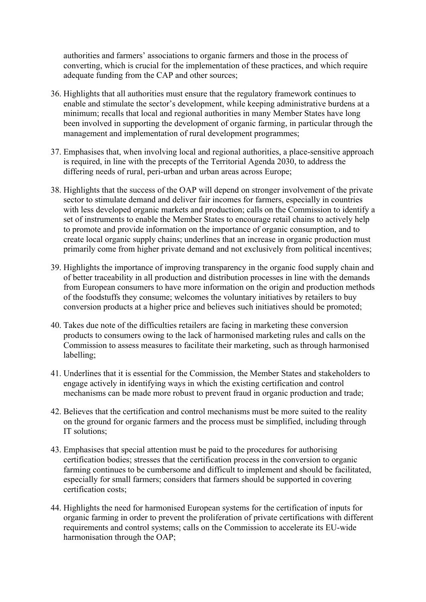authorities and farmers' associations to organic farmers and those in the process of converting, which is crucial for the implementation of these practices, and which require adequate funding from the CAP and other sources;

- 36. Highlights that all authorities must ensure that the regulatory framework continues to enable and stimulate the sector's development, while keeping administrative burdens at a minimum; recalls that local and regional authorities in many Member States have long been involved in supporting the development of organic farming, in particular through the management and implementation of rural development programmes;
- 37. Emphasises that, when involving local and regional authorities, a place-sensitive approach is required, in line with the precepts of the Territorial Agenda 2030, to address the differing needs of rural, peri-urban and urban areas across Europe;
- 38. Highlights that the success of the OAP will depend on stronger involvement of the private sector to stimulate demand and deliver fair incomes for farmers, especially in countries with less developed organic markets and production; calls on the Commission to identify a set of instruments to enable the Member States to encourage retail chains to actively help to promote and provide information on the importance of organic consumption, and to create local organic supply chains; underlines that an increase in organic production must primarily come from higher private demand and not exclusively from political incentives;
- 39. Highlights the importance of improving transparency in the organic food supply chain and of better traceability in all production and distribution processes in line with the demands from European consumers to have more information on the origin and production methods of the foodstuffs they consume; welcomes the voluntary initiatives by retailers to buy conversion products at a higher price and believes such initiatives should be promoted;
- 40. Takes due note of the difficulties retailers are facing in marketing these conversion products to consumers owing to the lack of harmonised marketing rules and calls on the Commission to assess measures to facilitate their marketing, such as through harmonised labelling;
- 41. Underlines that it is essential for the Commission, the Member States and stakeholders to engage actively in identifying ways in which the existing certification and control mechanisms can be made more robust to prevent fraud in organic production and trade;
- 42. Believes that the certification and control mechanisms must be more suited to the reality on the ground for organic farmers and the process must be simplified, including through IT solutions;
- 43. Emphasises that special attention must be paid to the procedures for authorising certification bodies; stresses that the certification process in the conversion to organic farming continues to be cumbersome and difficult to implement and should be facilitated, especially for small farmers; considers that farmers should be supported in covering certification costs;
- 44. Highlights the need for harmonised European systems for the certification of inputs for organic farming in order to prevent the proliferation of private certifications with different requirements and control systems; calls on the Commission to accelerate its EU-wide harmonisation through the OAP;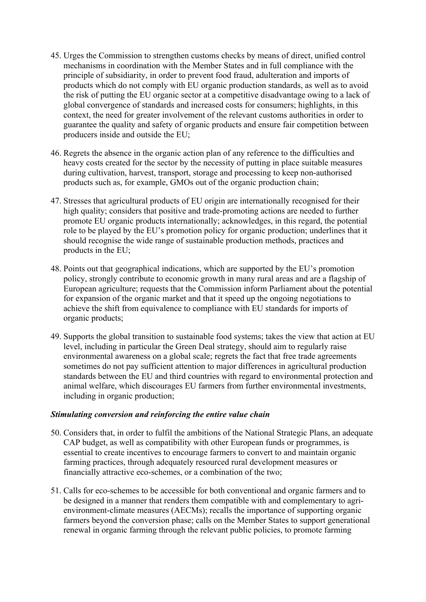- 45. Urges the Commission to strengthen customs checks by means of direct, unified control mechanisms in coordination with the Member States and in full compliance with the principle of subsidiarity, in order to prevent food fraud, adulteration and imports of products which do not comply with EU organic production standards, as well as to avoid the risk of putting the EU organic sector at a competitive disadvantage owing to a lack of global convergence of standards and increased costs for consumers; highlights, in this context, the need for greater involvement of the relevant customs authorities in order to guarantee the quality and safety of organic products and ensure fair competition between producers inside and outside the EU;
- 46. Regrets the absence in the organic action plan of any reference to the difficulties and heavy costs created for the sector by the necessity of putting in place suitable measures during cultivation, harvest, transport, storage and processing to keep non-authorised products such as, for example, GMOs out of the organic production chain;
- 47. Stresses that agricultural products of EU origin are internationally recognised for their high quality; considers that positive and trade-promoting actions are needed to further promote EU organic products internationally; acknowledges, in this regard, the potential role to be played by the EU's promotion policy for organic production; underlines that it should recognise the wide range of sustainable production methods, practices and products in the EU;
- 48. Points out that geographical indications, which are supported by the EU's promotion policy, strongly contribute to economic growth in many rural areas and are a flagship of European agriculture; requests that the Commission inform Parliament about the potential for expansion of the organic market and that it speed up the ongoing negotiations to achieve the shift from equivalence to compliance with EU standards for imports of organic products;
- 49. Supports the global transition to sustainable food systems; takes the view that action at EU level, including in particular the Green Deal strategy, should aim to regularly raise environmental awareness on a global scale; regrets the fact that free trade agreements sometimes do not pay sufficient attention to major differences in agricultural production standards between the EU and third countries with regard to environmental protection and animal welfare, which discourages EU farmers from further environmental investments, including in organic production;

#### *Stimulating conversion and reinforcing the entire value chain*

- 50. Considers that, in order to fulfil the ambitions of the National Strategic Plans, an adequate CAP budget, as well as compatibility with other European funds or programmes, is essential to create incentives to encourage farmers to convert to and maintain organic farming practices, through adequately resourced rural development measures or financially attractive eco-schemes, or a combination of the two;
- 51. Calls for eco-schemes to be accessible for both conventional and organic farmers and to be designed in a manner that renders them compatible with and complementary to agrienvironment-climate measures (AECMs); recalls the importance of supporting organic farmers beyond the conversion phase; calls on the Member States to support generational renewal in organic farming through the relevant public policies, to promote farming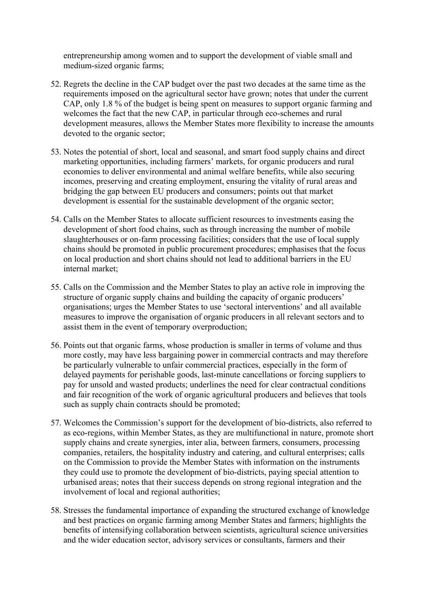entrepreneurship among women and to support the development of viable small and medium-sized organic farms;

- 52. Regrets the decline in the CAP budget over the past two decades at the same time as the requirements imposed on the agricultural sector have grown; notes that under the current CAP, only 1.8 % of the budget is being spent on measures to support organic farming and welcomes the fact that the new CAP, in particular through eco-schemes and rural development measures, allows the Member States more flexibility to increase the amounts devoted to the organic sector;
- 53. Notes the potential of short, local and seasonal, and smart food supply chains and direct marketing opportunities, including farmers' markets, for organic producers and rural economies to deliver environmental and animal welfare benefits, while also securing incomes, preserving and creating employment, ensuring the vitality of rural areas and bridging the gap between EU producers and consumers; points out that market development is essential for the sustainable development of the organic sector;
- 54. Calls on the Member States to allocate sufficient resources to investments easing the development of short food chains, such as through increasing the number of mobile slaughterhouses or on-farm processing facilities; considers that the use of local supply chains should be promoted in public procurement procedures; emphasises that the focus on local production and short chains should not lead to additional barriers in the EU internal market;
- 55. Calls on the Commission and the Member States to play an active role in improving the structure of organic supply chains and building the capacity of organic producers' organisations; urges the Member States to use 'sectoral interventions' and all available measures to improve the organisation of organic producers in all relevant sectors and to assist them in the event of temporary overproduction;
- 56. Points out that organic farms, whose production is smaller in terms of volume and thus more costly, may have less bargaining power in commercial contracts and may therefore be particularly vulnerable to unfair commercial practices, especially in the form of delayed payments for perishable goods, last-minute cancellations or forcing suppliers to pay for unsold and wasted products; underlines the need for clear contractual conditions and fair recognition of the work of organic agricultural producers and believes that tools such as supply chain contracts should be promoted;
- 57. Welcomes the Commission's support for the development of bio-districts, also referred to as eco-regions, within Member States, as they are multifunctional in nature, promote short supply chains and create synergies, inter alia, between farmers, consumers, processing companies, retailers, the hospitality industry and catering, and cultural enterprises; calls on the Commission to provide the Member States with information on the instruments they could use to promote the development of bio-districts, paying special attention to urbanised areas; notes that their success depends on strong regional integration and the involvement of local and regional authorities;
- 58. Stresses the fundamental importance of expanding the structured exchange of knowledge and best practices on organic farming among Member States and farmers; highlights the benefits of intensifying collaboration between scientists, agricultural science universities and the wider education sector, advisory services or consultants, farmers and their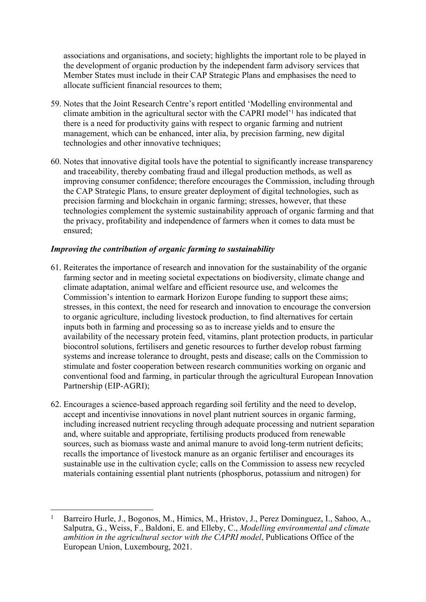associations and organisations, and society; highlights the important role to be played in the development of organic production by the independent farm advisory services that Member States must include in their CAP Strategic Plans and emphasises the need to allocate sufficient financial resources to them;

- 59. Notes that the Joint Research Centre's report entitled 'Modelling environmental and climate ambition in the agricultural sector with the CAPRI model'<sup>1</sup> has indicated that there is a need for productivity gains with respect to organic farming and nutrient management, which can be enhanced, inter alia, by precision farming, new digital technologies and other innovative techniques;
- 60. Notes that innovative digital tools have the potential to significantly increase transparency and traceability, thereby combating fraud and illegal production methods, as well as improving consumer confidence; therefore encourages the Commission, including through the CAP Strategic Plans, to ensure greater deployment of digital technologies, such as precision farming and blockchain in organic farming; stresses, however, that these technologies complement the systemic sustainability approach of organic farming and that the privacy, profitability and independence of farmers when it comes to data must be ensured;

#### *Improving the contribution of organic farming to sustainability*

- 61. Reiterates the importance of research and innovation for the sustainability of the organic farming sector and in meeting societal expectations on biodiversity, climate change and climate adaptation, animal welfare and efficient resource use, and welcomes the Commission's intention to earmark Horizon Europe funding to support these aims; stresses, in this context, the need for research and innovation to encourage the conversion to organic agriculture, including livestock production, to find alternatives for certain inputs both in farming and processing so as to increase yields and to ensure the availability of the necessary protein feed, vitamins, plant protection products, in particular biocontrol solutions, fertilisers and genetic resources to further develop robust farming systems and increase tolerance to drought, pests and disease; calls on the Commission to stimulate and foster cooperation between research communities working on organic and conventional food and farming, in particular through the agricultural European Innovation Partnership (EIP-AGRI);
- 62. Encourages a science-based approach regarding soil fertility and the need to develop, accept and incentivise innovations in novel plant nutrient sources in organic farming, including increased nutrient recycling through adequate processing and nutrient separation and, where suitable and appropriate, fertilising products produced from renewable sources, such as biomass waste and animal manure to avoid long-term nutrient deficits; recalls the importance of livestock manure as an organic fertiliser and encourages its sustainable use in the cultivation cycle; calls on the Commission to assess new recycled materials containing essential plant nutrients (phosphorus, potassium and nitrogen) for

<sup>1</sup> Barreiro Hurle, J., Bogonos, M., Himics, M., Hristov, J., Perez Dominguez, I., Sahoo, A., Salputra, G., Weiss, F., Baldoni, E. and Elleby, C., *Modelling environmental and climate ambition in the agricultural sector with the CAPRI model*, Publications Office of the European Union, Luxembourg, 2021.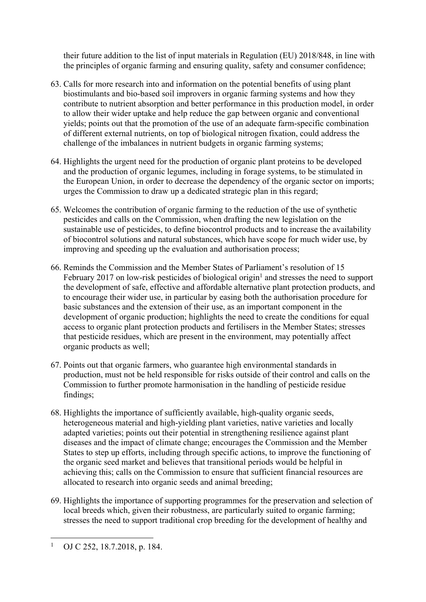their future addition to the list of input materials in Regulation (EU) 2018/848, in line with the principles of organic farming and ensuring quality, safety and consumer confidence;

- 63. Calls for more research into and information on the potential benefits of using plant biostimulants and bio-based soil improvers in organic farming systems and how they contribute to nutrient absorption and better performance in this production model, in order to allow their wider uptake and help reduce the gap between organic and conventional yields; points out that the promotion of the use of an adequate farm-specific combination of different external nutrients, on top of biological nitrogen fixation, could address the challenge of the imbalances in nutrient budgets in organic farming systems;
- 64. Highlights the urgent need for the production of organic plant proteins to be developed and the production of organic legumes, including in forage systems, to be stimulated in the European Union, in order to decrease the dependency of the organic sector on imports; urges the Commission to draw up a dedicated strategic plan in this regard;
- 65. Welcomes the contribution of organic farming to the reduction of the use of synthetic pesticides and calls on the Commission, when drafting the new legislation on the sustainable use of pesticides, to define biocontrol products and to increase the availability of biocontrol solutions and natural substances, which have scope for much wider use, by improving and speeding up the evaluation and authorisation process;
- 66. Reminds the Commission and the Member States of Parliament's resolution of 15 February 2017 on low-risk pesticides of biological origin<sup>1</sup> and stresses the need to support the development of safe, effective and affordable alternative plant protection products, and to encourage their wider use, in particular by easing both the authorisation procedure for basic substances and the extension of their use, as an important component in the development of organic production; highlights the need to create the conditions for equal access to organic plant protection products and fertilisers in the Member States; stresses that pesticide residues, which are present in the environment, may potentially affect organic products as well;
- 67. Points out that organic farmers, who guarantee high environmental standards in production, must not be held responsible for risks outside of their control and calls on the Commission to further promote harmonisation in the handling of pesticide residue findings;
- 68. Highlights the importance of sufficiently available, high-quality organic seeds, heterogeneous material and high-yielding plant varieties, native varieties and locally adapted varieties; points out their potential in strengthening resilience against plant diseases and the impact of climate change; encourages the Commission and the Member States to step up efforts, including through specific actions, to improve the functioning of the organic seed market and believes that transitional periods would be helpful in achieving this; calls on the Commission to ensure that sufficient financial resources are allocated to research into organic seeds and animal breeding;
- 69. Highlights the importance of supporting programmes for the preservation and selection of local breeds which, given their robustness, are particularly suited to organic farming; stresses the need to support traditional crop breeding for the development of healthy and

<sup>1</sup> OJ C 252, 18.7.2018, p. 184.